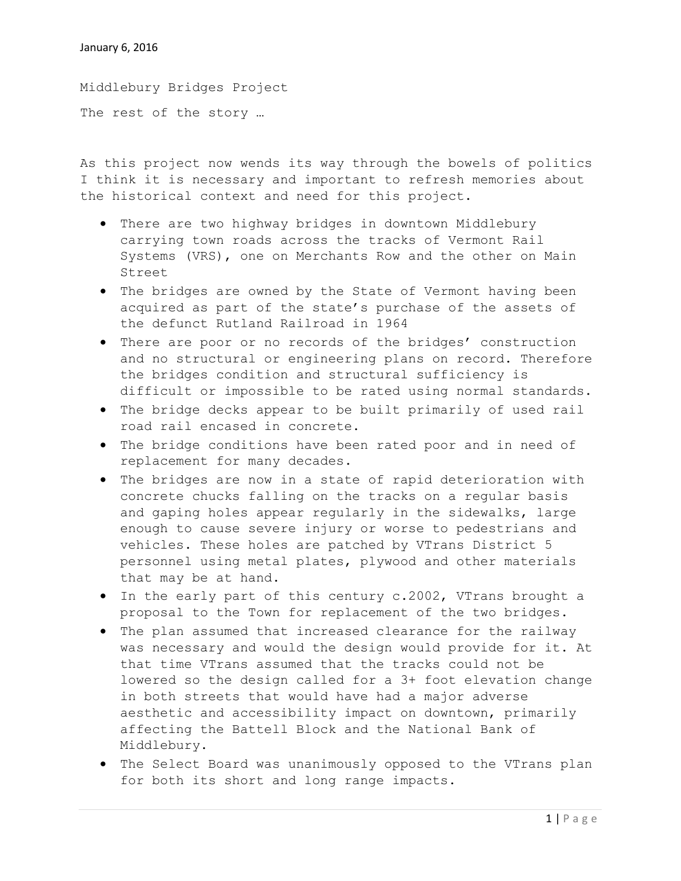Middlebury Bridges Project The rest of the story …

As this project now wends its way through the bowels of politics I think it is necessary and important to refresh memories about the historical context and need for this project.

- There are two highway bridges in downtown Middlebury carrying town roads across the tracks of Vermont Rail Systems (VRS), one on Merchants Row and the other on Main Street
- The bridges are owned by the State of Vermont having been acquired as part of the state's purchase of the assets of the defunct Rutland Railroad in 1964
- There are poor or no records of the bridges' construction and no structural or engineering plans on record. Therefore the bridges condition and structural sufficiency is difficult or impossible to be rated using normal standards.
- The bridge decks appear to be built primarily of used rail road rail encased in concrete.
- The bridge conditions have been rated poor and in need of replacement for many decades.
- The bridges are now in a state of rapid deterioration with concrete chucks falling on the tracks on a regular basis and gaping holes appear regularly in the sidewalks, large enough to cause severe injury or worse to pedestrians and vehicles. These holes are patched by VTrans District 5 personnel using metal plates, plywood and other materials that may be at hand.
- In the early part of this century c.2002, VTrans brought a proposal to the Town for replacement of the two bridges.
- The plan assumed that increased clearance for the railway was necessary and would the design would provide for it. At that time VTrans assumed that the tracks could not be lowered so the design called for a 3+ foot elevation change in both streets that would have had a major adverse aesthetic and accessibility impact on downtown, primarily affecting the Battell Block and the National Bank of Middlebury.
- The Select Board was unanimously opposed to the VTrans plan for both its short and long range impacts.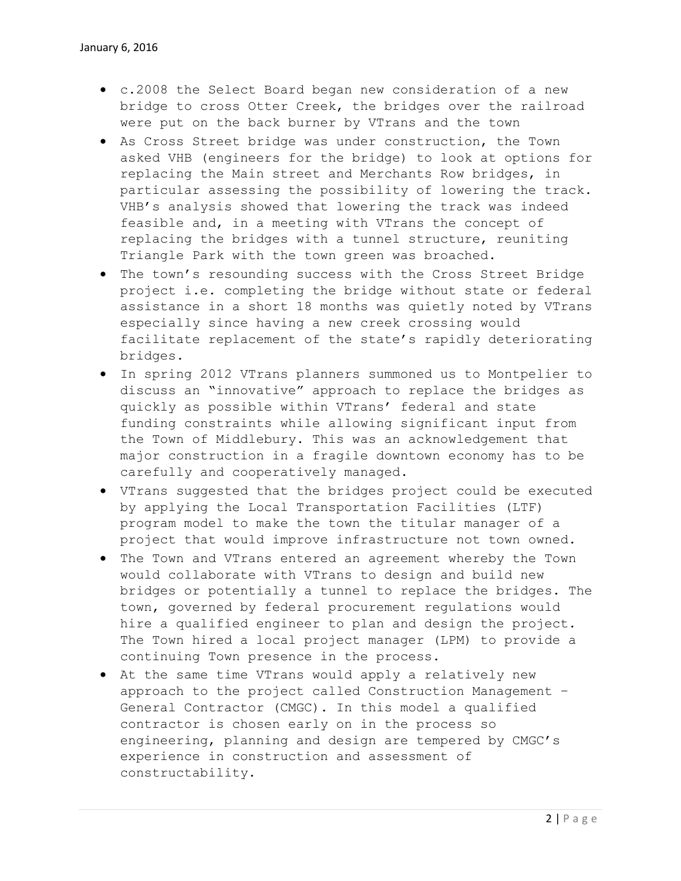- c.2008 the Select Board began new consideration of a new bridge to cross Otter Creek, the bridges over the railroad were put on the back burner by VTrans and the town
- As Cross Street bridge was under construction, the Town asked VHB (engineers for the bridge) to look at options for replacing the Main street and Merchants Row bridges, in particular assessing the possibility of lowering the track. VHB's analysis showed that lowering the track was indeed feasible and, in a meeting with VTrans the concept of replacing the bridges with a tunnel structure, reuniting Triangle Park with the town green was broached.
- The town's resounding success with the Cross Street Bridge project i.e. completing the bridge without state or federal assistance in a short 18 months was quietly noted by VTrans especially since having a new creek crossing would facilitate replacement of the state's rapidly deteriorating bridges.
- In spring 2012 VTrans planners summoned us to Montpelier to discuss an "innovative" approach to replace the bridges as quickly as possible within VTrans' federal and state funding constraints while allowing significant input from the Town of Middlebury. This was an acknowledgement that major construction in a fragile downtown economy has to be carefully and cooperatively managed.
- VTrans suggested that the bridges project could be executed by applying the Local Transportation Facilities (LTF) program model to make the town the titular manager of a project that would improve infrastructure not town owned.
- The Town and VTrans entered an agreement whereby the Town would collaborate with VTrans to design and build new bridges or potentially a tunnel to replace the bridges. The town, governed by federal procurement regulations would hire a qualified engineer to plan and design the project. The Town hired a local project manager (LPM) to provide a continuing Town presence in the process.
- At the same time VTrans would apply a relatively new approach to the project called Construction Management – General Contractor (CMGC). In this model a qualified contractor is chosen early on in the process so engineering, planning and design are tempered by CMGC's experience in construction and assessment of constructability.